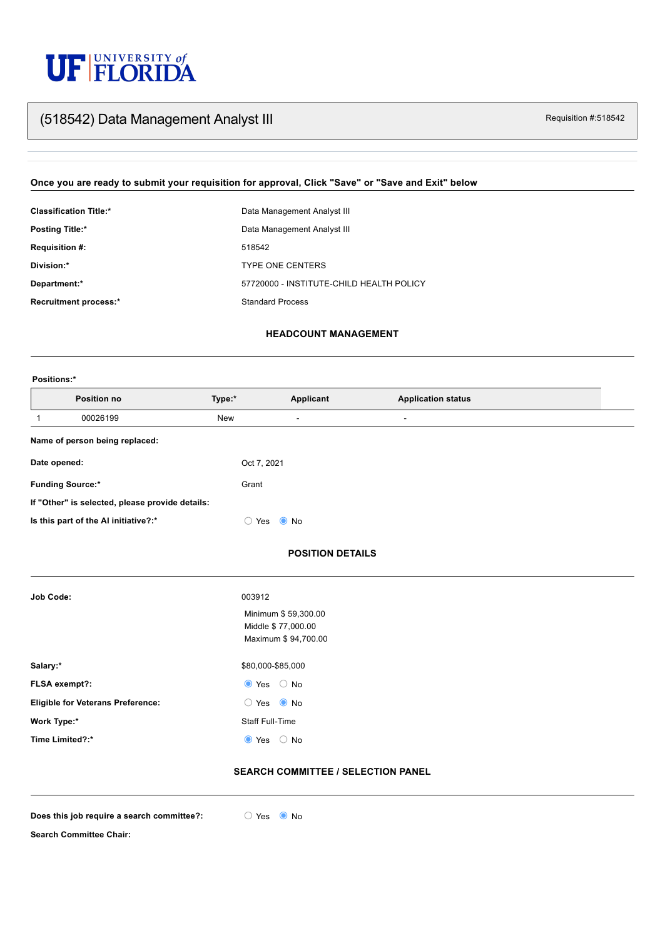# UF FLORIDA

# Requisition #:518542 (518542) Data Management Analyst III

### **Once you are ready to submit your requisition for approval, Click "Save" or "Save and Exit" below**

| <b>Classification Title:*</b> | Data Management Analyst III              |
|-------------------------------|------------------------------------------|
| <b>Posting Title:*</b>        | Data Management Analyst III              |
| <b>Requisition #:</b>         | 518542                                   |
| Division:*                    | <b>TYPE ONE CENTERS</b>                  |
| Department:*                  | 57720000 - INSTITUTE-CHILD HEALTH POLICY |
| <b>Recruitment process:*</b>  | <b>Standard Process</b>                  |

| <b>Job Code:</b>                         | 003912                   |
|------------------------------------------|--------------------------|
|                                          | Minimum \$59,300.00      |
|                                          | Middle \$ 77,000.00      |
|                                          | Maximum \$94,700.00      |
|                                          |                          |
| Salary:*                                 | \$80,000-\$85,000        |
| FLSA exempt?:                            | $\bullet$ Yes $\circ$ No |
| <b>Eligible for Veterans Preference:</b> | $\bullet$ No<br>Yes      |

**Work Type:\*** Staff Full-Time

**Time Limited?:\***  $\qquad \qquad \bullet$  Yes  $\qquad \circledcirc$  No

#### **HEADCOUNT MANAGEMENT**

#### **Positions:\***

#### **POSITION DETAILS**

| <b>Position no</b>                              | Type:*                                                   | <b>Applicant</b> | <b>Application status</b> |  |
|-------------------------------------------------|----------------------------------------------------------|------------------|---------------------------|--|
| 00026199                                        | New                                                      | $\blacksquare$   | $\blacksquare$            |  |
| Name of person being replaced:                  |                                                          |                  |                           |  |
| Date opened:                                    | Oct 7, 2021                                              |                  |                           |  |
| <b>Funding Source:*</b>                         | Grant                                                    |                  |                           |  |
| If "Other" is selected, please provide details: |                                                          |                  |                           |  |
| Is this part of the AI initiative?:*            | $\left( \begin{array}{c} 0 \\ 0 \end{array} \right)$ Yes | $\bullet$ No     |                           |  |

#### **SEARCH COMMITTEE / SELECTION PANEL**

**Does** this job require a search committee?:  $\bigcirc$  Yes  $\bigcirc$  No



**Search Committee Chair:**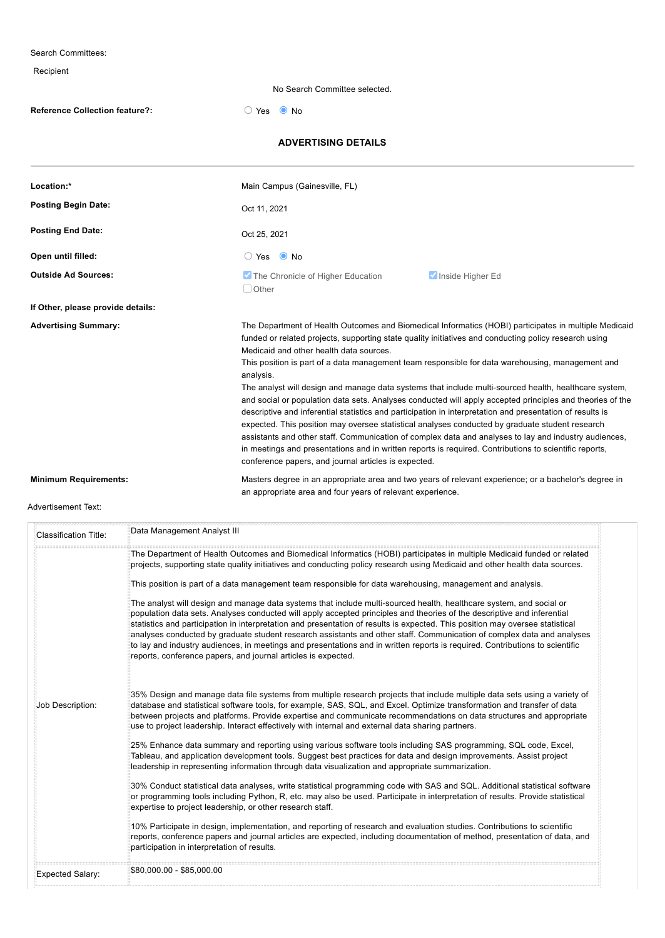Search Committees: Recipient No Search Committee selected. **Reference Collection feature?:**  $\bigcirc$  Yes  $\bigcirc$  No **ADVERTISING DETAILS Location:\*** Main Campus (Gainesville, FL) **Posting Begin Date: Posting End Date: Open until filled:**  $\bigcirc$  Yes  $\bigcirc$  No **Outside Ad Sources: If Other, please provide details: Advertising Summary:** The Department of Health Outcomes and Biomedical Informatics (HOBI) participates in multiple Medicaid funded or related projects, supporting state quality initiatives and conducting policy research using Medicaid and other health data sources. This position is part of a data management team responsible for data warehousing, management and analysis. The analyst will design and manage data systems that include multi-sourced health, healthcare system, and social or population data sets. Analyses conducted will apply accepted principles and theories of the descriptive and inferential statistics and participation in interpretation and presentation of results is expected. This position may oversee statistical analyses conducted by graduate student research assistants and other staff. Communication of complex data and analyses to lay and industry audiences, in meetings and presentations and in written reports is required. Contributions to scientific reports, conference papers, and journal articles is expected. **Minimum Requirements:** Masters degree in an appropriate area and two years of relevant experience; or a bachelor's degree in an appropriate area and four years of relevant experience. Oct 11, 2021 Oct 25, 2021 **The Chronicle of Higher Education** Inside Higher Education □ Other

#### Advertisement Text:

| Classification Title: | Data Management Analyst III                                                                                                                                                                                                                                                                                                                                                                                                                                                                                                                                                                                                                                                                                |
|-----------------------|------------------------------------------------------------------------------------------------------------------------------------------------------------------------------------------------------------------------------------------------------------------------------------------------------------------------------------------------------------------------------------------------------------------------------------------------------------------------------------------------------------------------------------------------------------------------------------------------------------------------------------------------------------------------------------------------------------|
|                       | The Department of Health Outcomes and Biomedical Informatics (HOBI) participates in multiple Medicaid funded or related<br>projects, supporting state quality initiatives and conducting policy research using Medicaid and other health data sources.                                                                                                                                                                                                                                                                                                                                                                                                                                                     |
|                       | This position is part of a data management team responsible for data warehousing, management and analysis.                                                                                                                                                                                                                                                                                                                                                                                                                                                                                                                                                                                                 |
|                       | The analyst will design and manage data systems that include multi-sourced health, healthcare system, and social or<br>population data sets. Analyses conducted will apply accepted principles and theories of the descriptive and inferential<br>statistics and participation in interpretation and presentation of results is expected. This position may oversee statistical<br>analyses conducted by graduate student research assistants and other staff. Communication of complex data and analyses<br>to lay and industry audiences, in meetings and presentations and in written reports is required. Contributions to scientific<br>reports, conference papers, and journal articles is expected. |
| Job Description:      | ¦35% Design and manage data file systems from multiple research projects that include multiple data sets using a variety of<br>database and statistical software tools, for example, SAS, SQL, and Excel. Optimize transformation and transfer of data                                                                                                                                                                                                                                                                                                                                                                                                                                                     |

between projects and platforms. Provide expertise and communicate recommendations on data structures and appropriate use to project leadership. Interact effectively with internal and external data sharing partners.

25% Enhance data summary and reporting using various software tools including SAS programming, SQL code, Excel, Tableau, and application development tools. Suggest best practices for data and design improvements. Assist project leadership in representing information through data visualization and appropriate summarization.

30% Conduct statistical data analyses, write statistical programming code with SAS and SQL. Additional statistical software or programming tools including Python, R, etc. may also be used. Participate in interpretation of results. Provide statistical expertise to project leadership, or other research staff.

10% Participate in design, implementation, and reporting of research and evaluation studies. Contributions to scientific reports, conference papers and journal articles are expected, including documentation of method, presentation of data, and participation in interpretation of results.

Expected Salary:

|---------------------------

\$80,000.00 - \$85,000.00